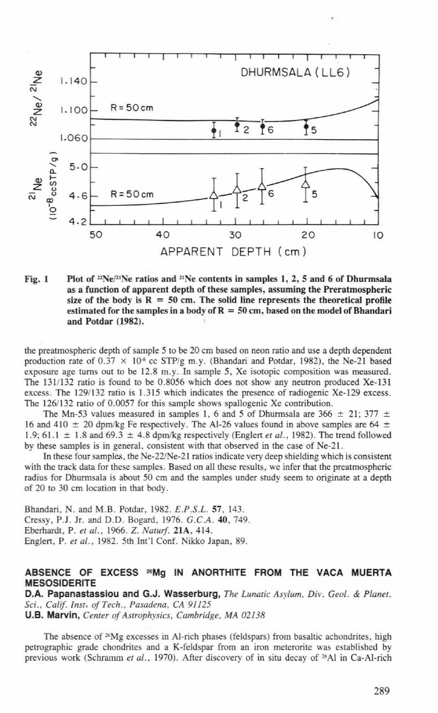

Fig. I Plot of  $2Ne^{2t}Ne$  ratios and  $2Ne$  contents in samples 1, 2, 5 and 6 of Dhurmsala as a function of apparent depth of these samples, assuming the Preratmospheric size of the body is  $R = 50$  cm. The solid line represents the theoretical profile estimated for the samples in a body of  $R = 50$  cm, based on the model of Bhandari and Potdar (1982).

the preatmospheric depth of sample 5 to be 20 em based on neon ratio and use a depth dependent production rate of  $0.37 \times 10^8$  cc STP/g m.y. (Bhandari and Potdar, 1982), the Ne-21 based exposure age turns out to be 12.8 m.y. In sample 5, Xe isotopic composition was measured. The 131/132 ratio is found to be 0.8056 which does not show any neutron produced Xe-131 excess. The 1291132 ratio is 1.315 which indicates the presence of radiogenic Xe-129 excess. The 126/132 ratio of 0.0057 for this sample shows spallogenic Xe contribution.

The Mn-53 values measured in samples 1, 6 and 5 of Dhurmsala are 366  $\pm$  21; 377  $\pm$ 16 and 410  $\pm$  20 dpm/kg Fe respectively. The Al-26 values found in above samples are 64  $\pm$ 1.9; 61.1  $\pm$  1.8 and 69.3  $\pm$  4.8 dpm/kg respectively (Englert *et al.*, 1982). The trend followed by these samples is in general, consistent with that observed in the case of Ne-21.

In these four samples, the Ne-22/Ne-21 ratios indicate very deep shielding which is consistent with the track data for these samples. Based on all these results, we infer that the preatmospheric radius for Dhurmsala is about 50 em and the samples under srudy seem to originate at a depth of 20 to 30 em location in that body.

Bhandari, N. and M.B. Potdar, 1982. *E.P.S.L.* 57, 143. Cressy, P.J. Jr. and D.O. Bogard, 1976. *G.C.A.* 40, 749. Eberhardt, P. *eta/.,* 1966. Z. *Nawrj.* 21A, 4 14. Englert, P. *eta/. ,* 1982. 5th Int"l Conf. Nikko Japan, 89.

## ABSENCE OF EXCESS "'Mg IN ANORTHITE FROM THE VACA MUERTA MESOSIDERITE

D.A. Papanastassiou and G.J. Wasserburg, *The Lunatic Asylum, Div. Geol.* & *Planet. Sci., Calif. lnst. of Tech., Pasadena, CA 91125*  U.S. Marvin, *Cemer of Astrophysics, Cambridge, MA* 02138

The absence of  $26Mg$  excesses in Al-rich phases (feldspars) from basaltic achondrites, high petrographic grade chondrites and a K-feldspar from an iron meterorite was established by previous work (Schramm *et at.,* 1970). After discovery of in situ decay of 26Al in Ca-AI-rich